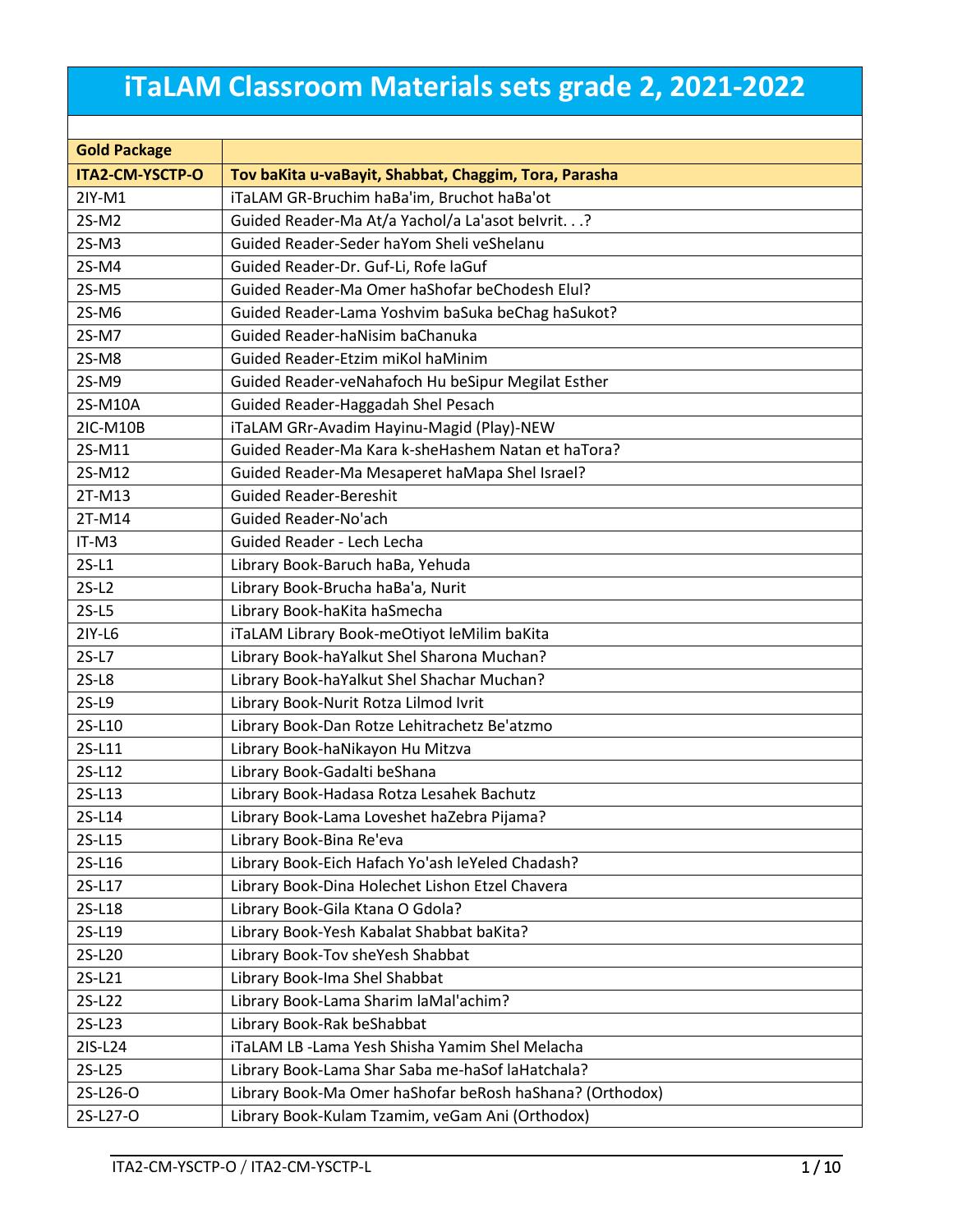## **iTaLAM Classroom Materials sets grade 2, 2021-2022**

| <b>Gold Package</b> |                                                          |  |  |
|---------------------|----------------------------------------------------------|--|--|
| ITA2-CM-YSCTP-O     | Tov baKita u-vaBayit, Shabbat, Chaggim, Tora, Parasha    |  |  |
| 2IY-M1              | iTaLAM GR-Bruchim haBa'im, Bruchot haBa'ot               |  |  |
| 2S-M2               | Guided Reader-Ma At/a Yachol/a La'asot belvrit.?         |  |  |
| $2S-M3$             | Guided Reader-Seder haYom Sheli veShelanu                |  |  |
| 2S-M4               | Guided Reader-Dr. Guf-Li, Rofe laGuf                     |  |  |
| 2S-M5               | Guided Reader-Ma Omer haShofar beChodesh Elul?           |  |  |
| 2S-M6               | Guided Reader-Lama Yoshvim baSuka beChag haSukot?        |  |  |
| 2S-M7               | Guided Reader-haNisim baChanuka                          |  |  |
| 2S-M8               | Guided Reader-Etzim miKol haMinim                        |  |  |
| 2S-M9               | Guided Reader-veNahafoch Hu beSipur Megilat Esther       |  |  |
| 2S-M10A             | Guided Reader-Haggadah Shel Pesach                       |  |  |
| 2IC-M10B            | iTaLAM GRr-Avadim Hayinu-Magid (Play)-NEW                |  |  |
| 2S-M11              | Guided Reader-Ma Kara k-sheHashem Natan et haTora?       |  |  |
| 2S-M12              | Guided Reader-Ma Mesaperet haMapa Shel Israel?           |  |  |
| 2T-M13              | <b>Guided Reader-Bereshit</b>                            |  |  |
| 2T-M14              | Guided Reader-No'ach                                     |  |  |
| IT-M3               | Guided Reader - Lech Lecha                               |  |  |
| $2S-L1$             | Library Book-Baruch haBa, Yehuda                         |  |  |
| $2S-L2$             | Library Book-Brucha haBa'a, Nurit                        |  |  |
| $2S-L5$             | Library Book-haKita haSmecha                             |  |  |
| 2IY-L6              | iTaLAM Library Book-meOtiyot leMilim baKita              |  |  |
| $2S-L7$             | Library Book-haYalkut Shel Sharona Muchan?               |  |  |
| $2S-L8$             | Library Book-haYalkut Shel Shachar Muchan?               |  |  |
| $2S-L9$             | Library Book-Nurit Rotza Lilmod Ivrit                    |  |  |
| 2S-L10              | Library Book-Dan Rotze Lehitrachetz Be'atzmo             |  |  |
| 2S-L11              | Library Book-haNikayon Hu Mitzva                         |  |  |
| 2S-L12              | Library Book-Gadalti beShana                             |  |  |
| 2S-L13              | Library Book-Hadasa Rotza Lesahek Bachutz                |  |  |
| 2S-L14              | Library Book-Lama Loveshet haZebra Pijama?               |  |  |
| 2S-L15              | Library Book-Bina Re'eva                                 |  |  |
| 2S-L16              | Library Book-Eich Hafach Yo'ash leYeled Chadash?         |  |  |
| 2S-L17              | Library Book-Dina Holechet Lishon Etzel Chavera          |  |  |
| 2S-L18              | Library Book-Gila Ktana O Gdola?                         |  |  |
| 2S-L19              | Library Book-Yesh Kabalat Shabbat baKita?                |  |  |
| 2S-L20              | Library Book-Tov sheYesh Shabbat                         |  |  |
| 2S-L21              | Library Book-Ima Shel Shabbat                            |  |  |
| 2S-L22              | Library Book-Lama Sharim laMal'achim?                    |  |  |
| 2S-L23              | Library Book-Rak beShabbat                               |  |  |
| 2IS-L24             | iTaLAM LB -Lama Yesh Shisha Yamim Shel Melacha           |  |  |
| 2S-L25              | Library Book-Lama Shar Saba me-haSof laHatchala?         |  |  |
| 2S-L26-O            | Library Book-Ma Omer haShofar beRosh haShana? (Orthodox) |  |  |
| 2S-L27-O            | Library Book-Kulam Tzamim, veGam Ani (Orthodox)          |  |  |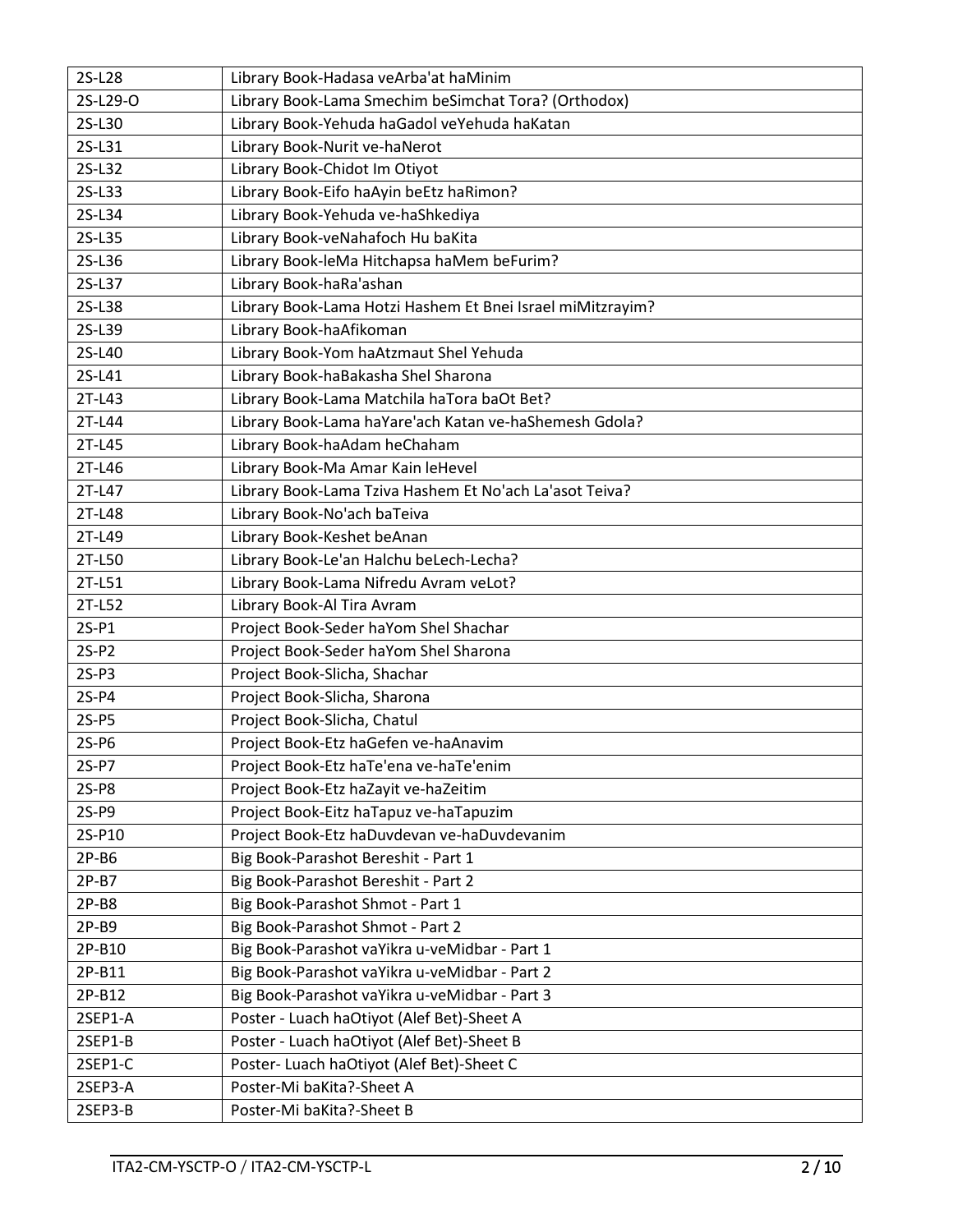| 2S-L28   | Library Book-Hadasa veArba'at haMinim                      |  |  |
|----------|------------------------------------------------------------|--|--|
| 2S-L29-O | Library Book-Lama Smechim beSimchat Tora? (Orthodox)       |  |  |
| 2S-L30   | Library Book-Yehuda haGadol veYehuda haKatan               |  |  |
| 2S-L31   | Library Book-Nurit ve-haNerot                              |  |  |
| 2S-L32   | Library Book-Chidot Im Otiyot                              |  |  |
| 2S-L33   | Library Book-Eifo haAyin beEtz haRimon?                    |  |  |
| 2S-L34   | Library Book-Yehuda ve-haShkediya                          |  |  |
| 2S-L35   | Library Book-veNahafoch Hu baKita                          |  |  |
| 2S-L36   | Library Book-leMa Hitchapsa haMem beFurim?                 |  |  |
| 2S-L37   | Library Book-haRa'ashan                                    |  |  |
| 2S-L38   | Library Book-Lama Hotzi Hashem Et Bnei Israel miMitzrayim? |  |  |
| 2S-L39   | Library Book-haAfikoman                                    |  |  |
| 2S-L40   | Library Book-Yom haAtzmaut Shel Yehuda                     |  |  |
| 2S-L41   | Library Book-haBakasha Shel Sharona                        |  |  |
| 2T-L43   | Library Book-Lama Matchila haTora baOt Bet?                |  |  |
| 2T-L44   | Library Book-Lama haYare'ach Katan ve-haShemesh Gdola?     |  |  |
| 2T-L45   | Library Book-haAdam heChaham                               |  |  |
| 2T-L46   | Library Book-Ma Amar Kain leHevel                          |  |  |
| 2T-L47   | Library Book-Lama Tziva Hashem Et No'ach La'asot Teiva?    |  |  |
| 2T-L48   | Library Book-No'ach baTeiva                                |  |  |
| 2T-L49   | Library Book-Keshet beAnan                                 |  |  |
| 2T-L50   | Library Book-Le'an Halchu beLech-Lecha?                    |  |  |
| 2T-L51   | Library Book-Lama Nifredu Avram veLot?                     |  |  |
| 2T-L52   | Library Book-Al Tira Avram                                 |  |  |
| $2S-P1$  | Project Book-Seder haYom Shel Shachar                      |  |  |
| $2S-P2$  | Project Book-Seder haYom Shel Sharona                      |  |  |
| $2S-P3$  | Project Book-Slicha, Shachar                               |  |  |
| $2S-P4$  | Project Book-Slicha, Sharona                               |  |  |
| $2S-PS$  | Project Book-Slicha, Chatul                                |  |  |
| $2S-PG$  | Project Book-Etz haGefen ve-haAnavim                       |  |  |
| $2S-PI$  | Project Book-Etz haTe'ena ve-haTe'enim                     |  |  |
| 2S-P8    | Project Book-Etz haZayit ve-haZeitim                       |  |  |
| 2S-P9    | Project Book-Eitz haTapuz ve-haTapuzim                     |  |  |
| 2S-P10   | Project Book-Etz haDuvdevan ve-haDuvdevanim                |  |  |
| $2P-B6$  | Big Book-Parashot Bereshit - Part 1                        |  |  |
| $2P-B7$  | Big Book-Parashot Bereshit - Part 2                        |  |  |
| $2P-B8$  | Big Book-Parashot Shmot - Part 1                           |  |  |
| $2P-B9$  | Big Book-Parashot Shmot - Part 2                           |  |  |
| 2P-B10   | Big Book-Parashot vaYikra u-veMidbar - Part 1              |  |  |
| 2P-B11   | Big Book-Parashot vaYikra u-veMidbar - Part 2              |  |  |
| 2P-B12   | Big Book-Parashot vaYikra u-veMidbar - Part 3              |  |  |
| 2SEP1-A  | Poster - Luach haOtiyot (Alef Bet)-Sheet A                 |  |  |
| 2SEP1-B  | Poster - Luach haOtiyot (Alef Bet)-Sheet B                 |  |  |
| 2SEP1-C  | Poster- Luach haOtiyot (Alef Bet)-Sheet C                  |  |  |
| 2SEP3-A  | Poster-Mi baKita?-Sheet A                                  |  |  |
| 2SEP3-B  | Poster-Mi baKita?-Sheet B                                  |  |  |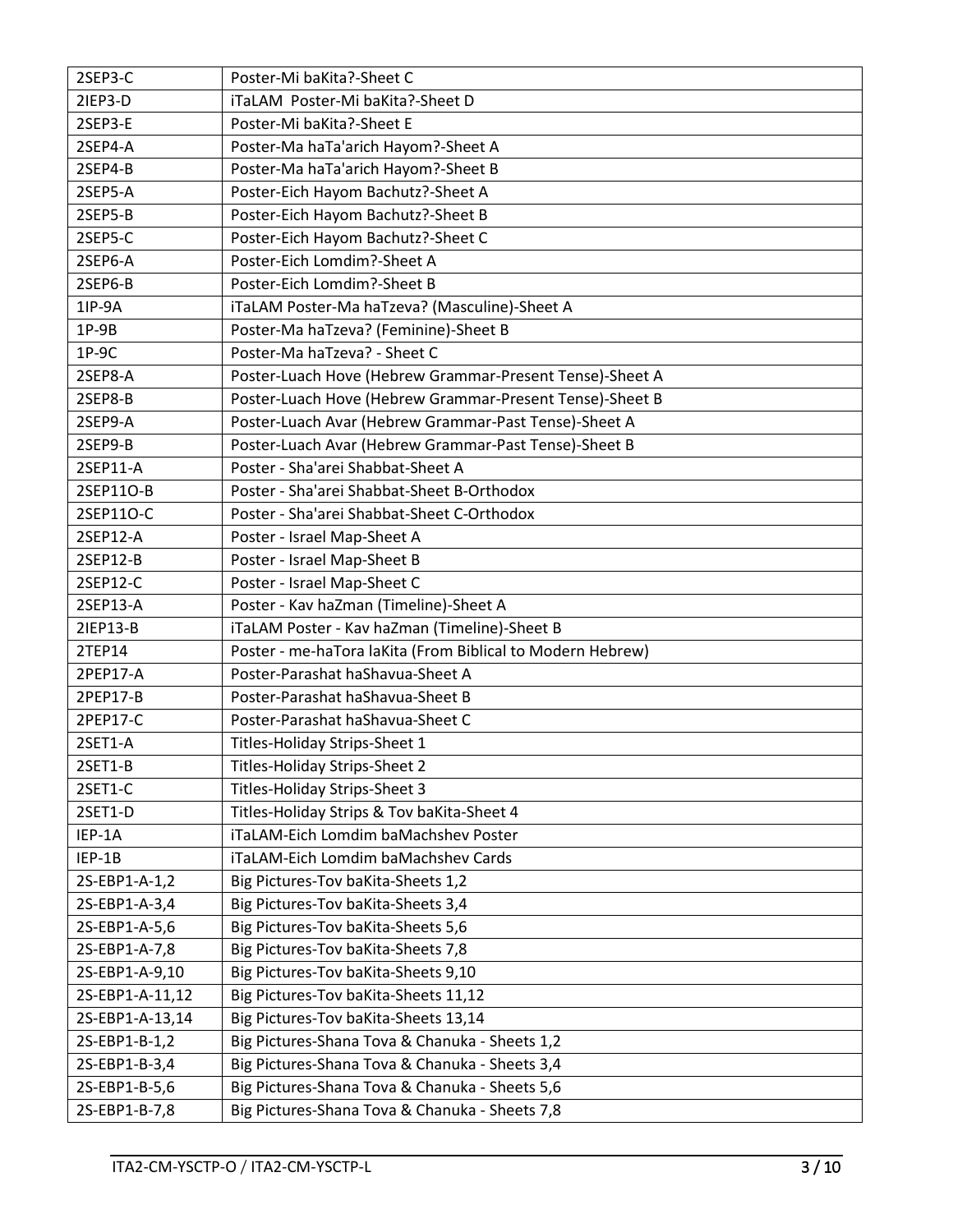| 2SEP3-C         | Poster-Mi baKita?-Sheet C                                  |  |  |
|-----------------|------------------------------------------------------------|--|--|
| 2IEP3-D         | iTaLAM Poster-Mi baKita?-Sheet D                           |  |  |
| 2SEP3-E         | Poster-Mi baKita?-Sheet E                                  |  |  |
| 2SEP4-A         | Poster-Ma haTa'arich Hayom?-Sheet A                        |  |  |
| 2SEP4-B         | Poster-Ma haTa'arich Hayom?-Sheet B                        |  |  |
| 2SEP5-A         | Poster-Eich Hayom Bachutz?-Sheet A                         |  |  |
| 2SEP5-B         | Poster-Eich Hayom Bachutz?-Sheet B                         |  |  |
| 2SEP5-C         | Poster-Eich Hayom Bachutz?-Sheet C                         |  |  |
| 2SEP6-A         | Poster-Eich Lomdim?-Sheet A                                |  |  |
| 2SEP6-B         | Poster-Eich Lomdim?-Sheet B                                |  |  |
| 1IP-9A          | iTaLAM Poster-Ma haTzeva? (Masculine)-Sheet A              |  |  |
| $1P-9B$         | Poster-Ma haTzeva? (Feminine)-Sheet B                      |  |  |
| $1P-9C$         | Poster-Ma haTzeva? - Sheet C                               |  |  |
| 2SEP8-A         | Poster-Luach Hove (Hebrew Grammar-Present Tense)-Sheet A   |  |  |
| 2SEP8-B         | Poster-Luach Hove (Hebrew Grammar-Present Tense)-Sheet B   |  |  |
| 2SEP9-A         | Poster-Luach Avar (Hebrew Grammar-Past Tense)-Sheet A      |  |  |
| 2SEP9-B         | Poster-Luach Avar (Hebrew Grammar-Past Tense)-Sheet B      |  |  |
| 2SEP11-A        | Poster - Sha'arei Shabbat-Sheet A                          |  |  |
| 2SEP11O-B       | Poster - Sha'arei Shabbat-Sheet B-Orthodox                 |  |  |
| 2SEP11O-C       | Poster - Sha'arei Shabbat-Sheet C-Orthodox                 |  |  |
| 2SEP12-A        | Poster - Israel Map-Sheet A                                |  |  |
| 2SEP12-B        | Poster - Israel Map-Sheet B                                |  |  |
| 2SEP12-C        | Poster - Israel Map-Sheet C                                |  |  |
| 2SEP13-A        | Poster - Kav haZman (Timeline)-Sheet A                     |  |  |
| 21EP13-B        | iTaLAM Poster - Kav haZman (Timeline)-Sheet B              |  |  |
| 2TEP14          | Poster - me-haTora laKita (From Biblical to Modern Hebrew) |  |  |
| 2PEP17-A        | Poster-Parashat haShavua-Sheet A                           |  |  |
| 2PEP17-B        | Poster-Parashat haShavua-Sheet B                           |  |  |
| 2PEP17-C        | Poster-Parashat haShavua-Sheet C                           |  |  |
| 2SET1-A         | Titles-Holiday Strips-Sheet 1                              |  |  |
| 2SET1-B         | Titles-Holiday Strips-Sheet 2                              |  |  |
| 2SET1-C         | Titles-Holiday Strips-Sheet 3                              |  |  |
| 2SET1-D         | Titles-Holiday Strips & Tov baKita-Sheet 4                 |  |  |
| IEP-1A          | iTaLAM-Eich Lomdim baMachshev Poster                       |  |  |
| IEP-1B          | iTaLAM-Eich Lomdim baMachshev Cards                        |  |  |
| 2S-EBP1-A-1,2   | Big Pictures-Tov baKita-Sheets 1,2                         |  |  |
| 2S-EBP1-A-3,4   | Big Pictures-Tov baKita-Sheets 3,4                         |  |  |
| 2S-EBP1-A-5,6   | Big Pictures-Tov baKita-Sheets 5,6                         |  |  |
| 2S-EBP1-A-7,8   | Big Pictures-Tov baKita-Sheets 7,8                         |  |  |
| 2S-EBP1-A-9,10  | Big Pictures-Tov baKita-Sheets 9,10                        |  |  |
| 2S-EBP1-A-11,12 | Big Pictures-Tov baKita-Sheets 11,12                       |  |  |
| 2S-EBP1-A-13,14 | Big Pictures-Tov baKita-Sheets 13,14                       |  |  |
| 2S-EBP1-B-1,2   | Big Pictures-Shana Tova & Chanuka - Sheets 1,2             |  |  |
| 2S-EBP1-B-3,4   | Big Pictures-Shana Tova & Chanuka - Sheets 3,4             |  |  |
| 2S-EBP1-B-5,6   | Big Pictures-Shana Tova & Chanuka - Sheets 5,6             |  |  |
| 2S-EBP1-B-7,8   | Big Pictures-Shana Tova & Chanuka - Sheets 7,8             |  |  |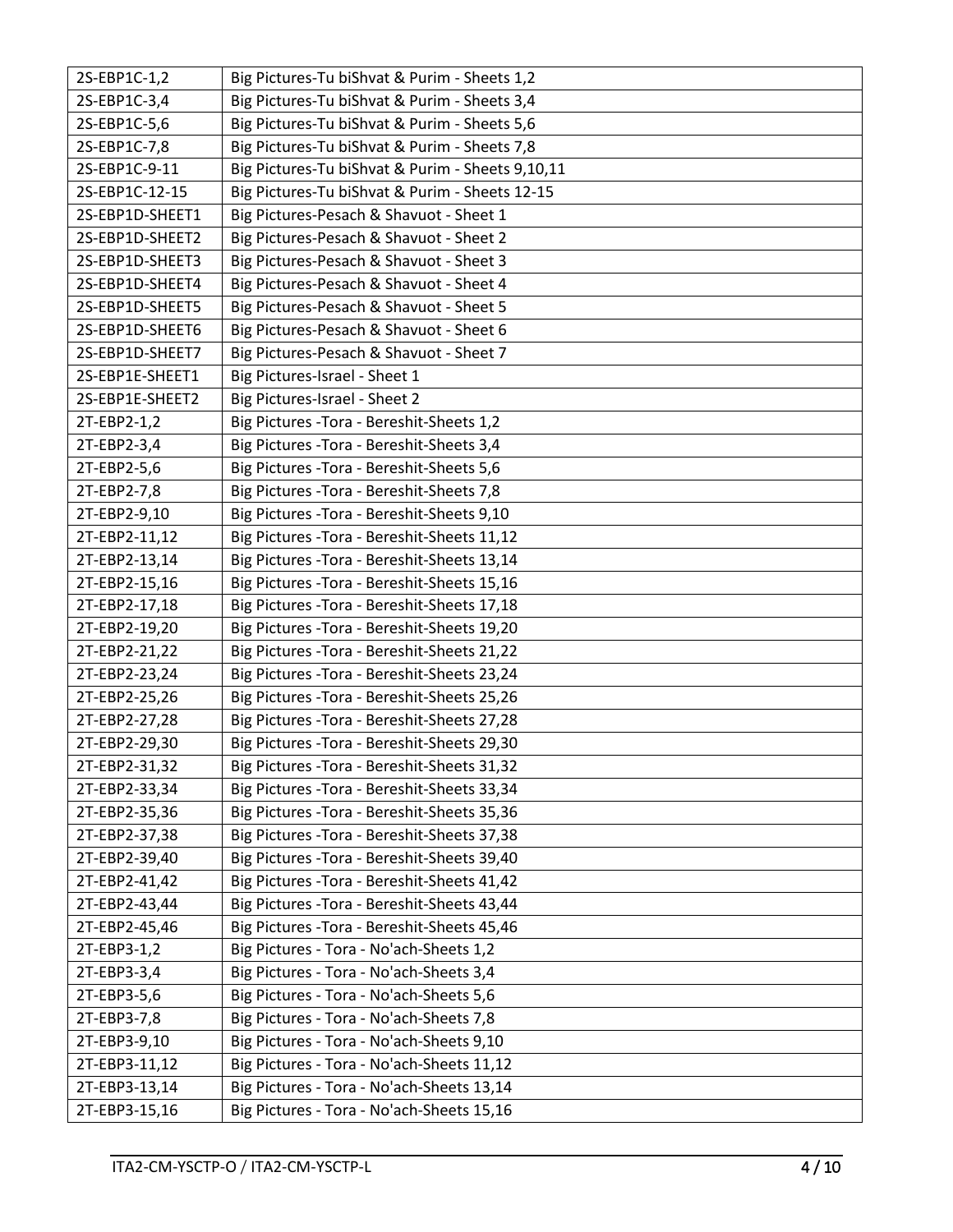| 2S-EBP1C-1,2    | Big Pictures-Tu biShvat & Purim - Sheets 1,2     |
|-----------------|--------------------------------------------------|
| 2S-EBP1C-3,4    | Big Pictures-Tu biShvat & Purim - Sheets 3,4     |
| 2S-EBP1C-5,6    | Big Pictures-Tu biShvat & Purim - Sheets 5,6     |
| 2S-EBP1C-7,8    | Big Pictures-Tu biShvat & Purim - Sheets 7,8     |
| 2S-EBP1C-9-11   | Big Pictures-Tu biShvat & Purim - Sheets 9,10,11 |
| 2S-EBP1C-12-15  | Big Pictures-Tu biShvat & Purim - Sheets 12-15   |
| 2S-EBP1D-SHEET1 | Big Pictures-Pesach & Shavuot - Sheet 1          |
| 2S-EBP1D-SHEET2 | Big Pictures-Pesach & Shavuot - Sheet 2          |
| 2S-EBP1D-SHEET3 | Big Pictures-Pesach & Shavuot - Sheet 3          |
| 2S-EBP1D-SHEET4 | Big Pictures-Pesach & Shavuot - Sheet 4          |
| 2S-EBP1D-SHEET5 | Big Pictures-Pesach & Shavuot - Sheet 5          |
| 2S-EBP1D-SHEET6 | Big Pictures-Pesach & Shavuot - Sheet 6          |
| 2S-EBP1D-SHEET7 | Big Pictures-Pesach & Shavuot - Sheet 7          |
| 2S-EBP1E-SHEET1 | Big Pictures-Israel - Sheet 1                    |
| 2S-EBP1E-SHEET2 | Big Pictures-Israel - Sheet 2                    |
| 2T-EBP2-1,2     | Big Pictures - Tora - Bereshit-Sheets 1,2        |
| 2T-EBP2-3,4     | Big Pictures - Tora - Bereshit-Sheets 3,4        |
| 2T-EBP2-5,6     | Big Pictures - Tora - Bereshit-Sheets 5,6        |
| 2T-EBP2-7,8     | Big Pictures - Tora - Bereshit-Sheets 7,8        |
| 2T-EBP2-9,10    | Big Pictures - Tora - Bereshit-Sheets 9,10       |
| 2T-EBP2-11,12   | Big Pictures - Tora - Bereshit-Sheets 11,12      |
| 2T-EBP2-13,14   | Big Pictures - Tora - Bereshit-Sheets 13,14      |
| 2T-EBP2-15,16   | Big Pictures - Tora - Bereshit-Sheets 15,16      |
| 2T-EBP2-17,18   | Big Pictures - Tora - Bereshit-Sheets 17,18      |
| 2T-EBP2-19,20   | Big Pictures - Tora - Bereshit-Sheets 19,20      |
| 2T-EBP2-21,22   | Big Pictures - Tora - Bereshit-Sheets 21,22      |
| 2T-EBP2-23,24   | Big Pictures - Tora - Bereshit-Sheets 23,24      |
| 2T-EBP2-25,26   | Big Pictures - Tora - Bereshit-Sheets 25,26      |
| 2T-EBP2-27,28   | Big Pictures - Tora - Bereshit-Sheets 27,28      |
| 2T-EBP2-29,30   | Big Pictures - Tora - Bereshit-Sheets 29,30      |
| 2T-EBP2-31,32   | Big Pictures - Tora - Bereshit-Sheets 31,32      |
| 2T-EBP2-33,34   | Big Pictures - Tora - Bereshit-Sheets 33,34      |
| 2T-EBP2-35,36   | Big Pictures - Tora - Bereshit-Sheets 35,36      |
| 2T-EBP2-37,38   | Big Pictures - Tora - Bereshit-Sheets 37,38      |
| 2T-EBP2-39,40   | Big Pictures - Tora - Bereshit-Sheets 39,40      |
| 2T-EBP2-41,42   | Big Pictures - Tora - Bereshit-Sheets 41,42      |
| 2T-EBP2-43,44   | Big Pictures - Tora - Bereshit-Sheets 43,44      |
| 2T-EBP2-45,46   | Big Pictures - Tora - Bereshit-Sheets 45,46      |
| 2T-EBP3-1,2     | Big Pictures - Tora - No'ach-Sheets 1,2          |
| 2T-EBP3-3,4     | Big Pictures - Tora - No'ach-Sheets 3,4          |
| 2T-EBP3-5,6     | Big Pictures - Tora - No'ach-Sheets 5,6          |
| 2T-EBP3-7,8     | Big Pictures - Tora - No'ach-Sheets 7,8          |
| 2T-EBP3-9,10    | Big Pictures - Tora - No'ach-Sheets 9,10         |
| 2T-EBP3-11,12   | Big Pictures - Tora - No'ach-Sheets 11,12        |
| 2T-EBP3-13,14   | Big Pictures - Tora - No'ach-Sheets 13,14        |
| 2T-EBP3-15,16   | Big Pictures - Tora - No'ach-Sheets 15,16        |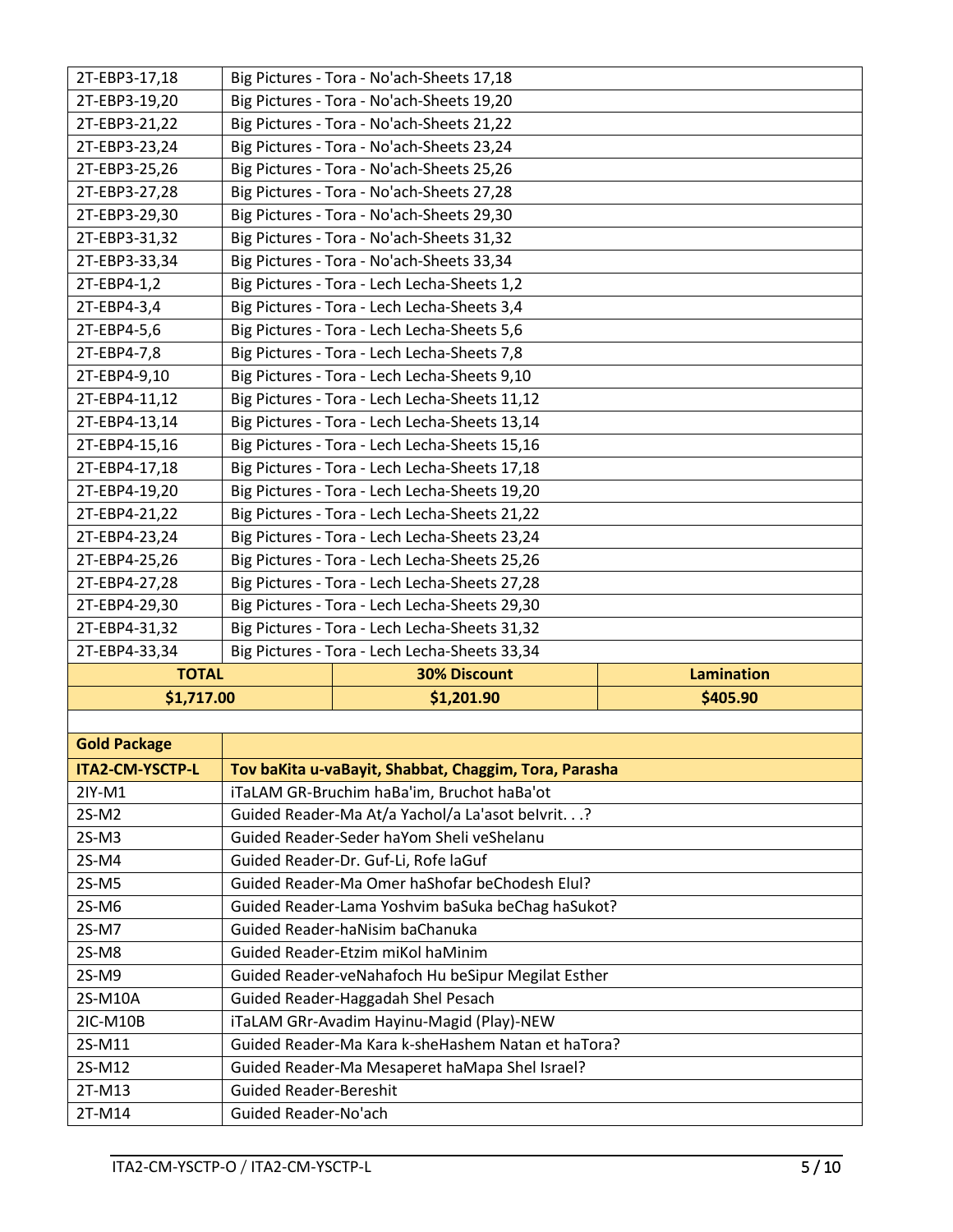| 2T-EBP3-17,18          |                                                   | Big Pictures - Tora - No'ach-Sheets 17,18             |          |
|------------------------|---------------------------------------------------|-------------------------------------------------------|----------|
| 2T-EBP3-19,20          |                                                   | Big Pictures - Tora - No'ach-Sheets 19,20             |          |
| 2T-EBP3-21,22          |                                                   | Big Pictures - Tora - No'ach-Sheets 21,22             |          |
| 2T-EBP3-23,24          | Big Pictures - Tora - No'ach-Sheets 23,24         |                                                       |          |
| 2T-EBP3-25,26          |                                                   | Big Pictures - Tora - No'ach-Sheets 25,26             |          |
| 2T-EBP3-27,28          |                                                   | Big Pictures - Tora - No'ach-Sheets 27,28             |          |
| 2T-EBP3-29,30          |                                                   | Big Pictures - Tora - No'ach-Sheets 29,30             |          |
| 2T-EBP3-31,32          |                                                   | Big Pictures - Tora - No'ach-Sheets 31,32             |          |
| 2T-EBP3-33,34          |                                                   | Big Pictures - Tora - No'ach-Sheets 33,34             |          |
| 2T-EBP4-1,2            |                                                   | Big Pictures - Tora - Lech Lecha-Sheets 1,2           |          |
| 2T-EBP4-3,4            |                                                   | Big Pictures - Tora - Lech Lecha-Sheets 3,4           |          |
| 2T-EBP4-5,6            |                                                   | Big Pictures - Tora - Lech Lecha-Sheets 5,6           |          |
| 2T-EBP4-7,8            |                                                   | Big Pictures - Tora - Lech Lecha-Sheets 7,8           |          |
| 2T-EBP4-9,10           |                                                   | Big Pictures - Tora - Lech Lecha-Sheets 9,10          |          |
| 2T-EBP4-11,12          |                                                   | Big Pictures - Tora - Lech Lecha-Sheets 11,12         |          |
| 2T-EBP4-13,14          |                                                   | Big Pictures - Tora - Lech Lecha-Sheets 13,14         |          |
| 2T-EBP4-15,16          | Big Pictures - Tora - Lech Lecha-Sheets 15,16     |                                                       |          |
| 2T-EBP4-17,18          | Big Pictures - Tora - Lech Lecha-Sheets 17,18     |                                                       |          |
| 2T-EBP4-19,20          | Big Pictures - Tora - Lech Lecha-Sheets 19,20     |                                                       |          |
| 2T-EBP4-21,22          | Big Pictures - Tora - Lech Lecha-Sheets 21,22     |                                                       |          |
| 2T-EBP4-23,24          | Big Pictures - Tora - Lech Lecha-Sheets 23,24     |                                                       |          |
| 2T-EBP4-25,26          | Big Pictures - Tora - Lech Lecha-Sheets 25,26     |                                                       |          |
| 2T-EBP4-27,28          | Big Pictures - Tora - Lech Lecha-Sheets 27,28     |                                                       |          |
| 2T-EBP4-29,30          | Big Pictures - Tora - Lech Lecha-Sheets 29,30     |                                                       |          |
| 2T-EBP4-31,32          | Big Pictures - Tora - Lech Lecha-Sheets 31,32     |                                                       |          |
| 2T-EBP4-33,34          | Big Pictures - Tora - Lech Lecha-Sheets 33,34     |                                                       |          |
| <b>TOTAL</b>           | <b>Lamination</b><br><b>30% Discount</b>          |                                                       |          |
| \$1,717.00             |                                                   | \$1,201.90                                            | \$405.90 |
|                        |                                                   |                                                       |          |
| <b>Gold Package</b>    |                                                   |                                                       |          |
| <b>ITA2-CM-YSCTP-L</b> |                                                   | Tov baKita u-vaBayit, Shabbat, Chaggim, Tora, Parasha |          |
| 2IY-M1                 | iTaLAM GR-Bruchim haBa'im, Bruchot haBa'ot        |                                                       |          |
| 2S-M2                  | Guided Reader-Ma At/a Yachol/a La'asot belvrit.?  |                                                       |          |
| $2S-M3$                | Guided Reader-Seder haYom Sheli veShelanu         |                                                       |          |
| 2S-M4                  | Guided Reader-Dr. Guf-Li, Rofe laGuf              |                                                       |          |
| 2S-M5                  | Guided Reader-Ma Omer haShofar beChodesh Elul?    |                                                       |          |
| 2S-M6                  | Guided Reader-Lama Yoshvim baSuka beChag haSukot? |                                                       |          |
| 2S-M7                  | Guided Reader-haNisim baChanuka                   |                                                       |          |
| 2S-M8                  | Guided Reader-Etzim miKol haMinim                 |                                                       |          |
| 2S-M9                  |                                                   | Guided Reader-veNahafoch Hu beSipur Megilat Esther    |          |
| 2S-M10A                |                                                   | Guided Reader-Haggadah Shel Pesach                    |          |
| 2IC-M10B               |                                                   | iTaLAM GRr-Avadim Hayinu-Magid (Play)-NEW             |          |

2T-M14 Guided Reader-No'ach

2S-M11 Guided Reader-Ma Kara k-sheHashem Natan et haTora?

2S-M12 Guided Reader-Ma Mesaperet haMapa Shel Israel?<br>2T-M13 Guided Reader-Bereshit Guided Reader-Bereshit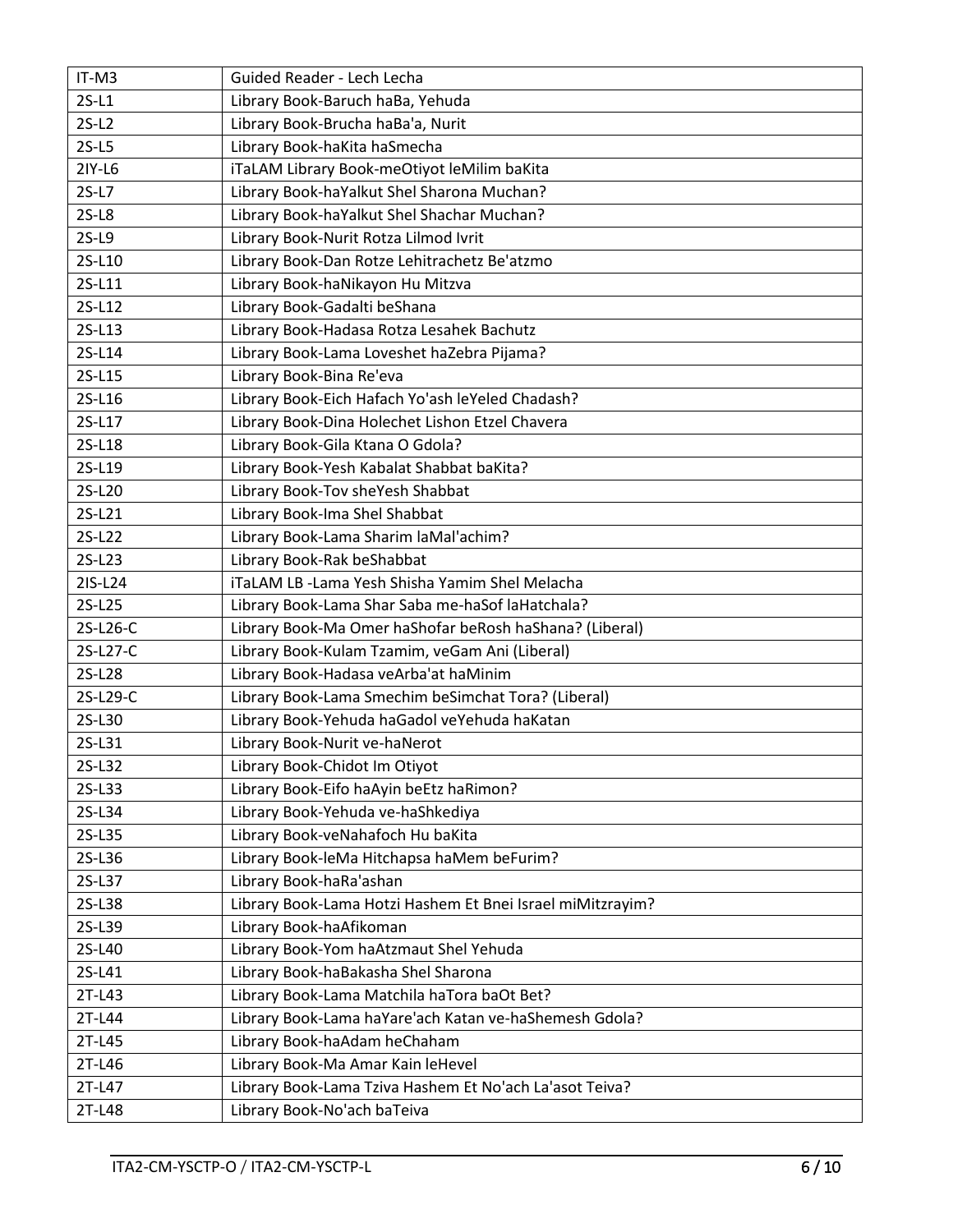| IT-M3    | Guided Reader - Lech Lecha                                 |  |  |
|----------|------------------------------------------------------------|--|--|
| $2S-L1$  | Library Book-Baruch haBa, Yehuda                           |  |  |
| $2S-L2$  | Library Book-Brucha haBa'a, Nurit                          |  |  |
| $2S-L5$  | Library Book-haKita haSmecha                               |  |  |
| 2IY-L6   | iTaLAM Library Book-meOtiyot leMilim baKita                |  |  |
| $2S-L7$  | Library Book-haYalkut Shel Sharona Muchan?                 |  |  |
| $2S-L8$  | Library Book-haYalkut Shel Shachar Muchan?                 |  |  |
| $2S-L9$  | Library Book-Nurit Rotza Lilmod Ivrit                      |  |  |
| 2S-L10   | Library Book-Dan Rotze Lehitrachetz Be'atzmo               |  |  |
| 2S-L11   | Library Book-haNikayon Hu Mitzva                           |  |  |
| 2S-L12   | Library Book-Gadalti beShana                               |  |  |
| 2S-L13   | Library Book-Hadasa Rotza Lesahek Bachutz                  |  |  |
| 2S-L14   | Library Book-Lama Loveshet haZebra Pijama?                 |  |  |
| 2S-L15   | Library Book-Bina Re'eva                                   |  |  |
| 2S-L16   | Library Book-Eich Hafach Yo'ash leYeled Chadash?           |  |  |
| 2S-L17   | Library Book-Dina Holechet Lishon Etzel Chavera            |  |  |
| 2S-L18   | Library Book-Gila Ktana O Gdola?                           |  |  |
| 2S-L19   | Library Book-Yesh Kabalat Shabbat baKita?                  |  |  |
| 2S-L20   | Library Book-Tov sheYesh Shabbat                           |  |  |
| 2S-L21   | Library Book-Ima Shel Shabbat                              |  |  |
| 2S-L22   | Library Book-Lama Sharim laMal'achim?                      |  |  |
| 2S-L23   | Library Book-Rak beShabbat                                 |  |  |
| 2IS-L24  | iTaLAM LB - Lama Yesh Shisha Yamim Shel Melacha            |  |  |
| 2S-L25   | Library Book-Lama Shar Saba me-haSof laHatchala?           |  |  |
| 2S-L26-C | Library Book-Ma Omer haShofar beRosh haShana? (Liberal)    |  |  |
| 2S-L27-C | Library Book-Kulam Tzamim, veGam Ani (Liberal)             |  |  |
| 2S-L28   | Library Book-Hadasa veArba'at haMinim                      |  |  |
| 2S-L29-C | Library Book-Lama Smechim beSimchat Tora? (Liberal)        |  |  |
| 2S-L30   | Library Book-Yehuda haGadol veYehuda haKatan               |  |  |
| 2S-L31   | Library Book-Nurit ve-haNerot                              |  |  |
| 2S-L32   | Library Book-Chidot Im Otiyot                              |  |  |
| 2S-L33   | Library Book-Eifo haAyin beEtz haRimon?                    |  |  |
| 2S-L34   | Library Book-Yehuda ve-haShkediya                          |  |  |
| 2S-L35   | Library Book-veNahafoch Hu baKita                          |  |  |
| 2S-L36   | Library Book-leMa Hitchapsa haMem beFurim?                 |  |  |
| 2S-L37   | Library Book-haRa'ashan                                    |  |  |
| 2S-L38   | Library Book-Lama Hotzi Hashem Et Bnei Israel miMitzrayim? |  |  |
| 2S-L39   | Library Book-haAfikoman                                    |  |  |
| 2S-L40   | Library Book-Yom haAtzmaut Shel Yehuda                     |  |  |
| 2S-L41   | Library Book-haBakasha Shel Sharona                        |  |  |
| 2T-L43   | Library Book-Lama Matchila haTora baOt Bet?                |  |  |
| 2T-L44   | Library Book-Lama haYare'ach Katan ve-haShemesh Gdola?     |  |  |
| 2T-L45   | Library Book-haAdam heChaham                               |  |  |
| 2T-L46   | Library Book-Ma Amar Kain leHevel                          |  |  |
| 2T-L47   | Library Book-Lama Tziva Hashem Et No'ach La'asot Teiva?    |  |  |
| 2T-L48   | Library Book-No'ach baTeiva                                |  |  |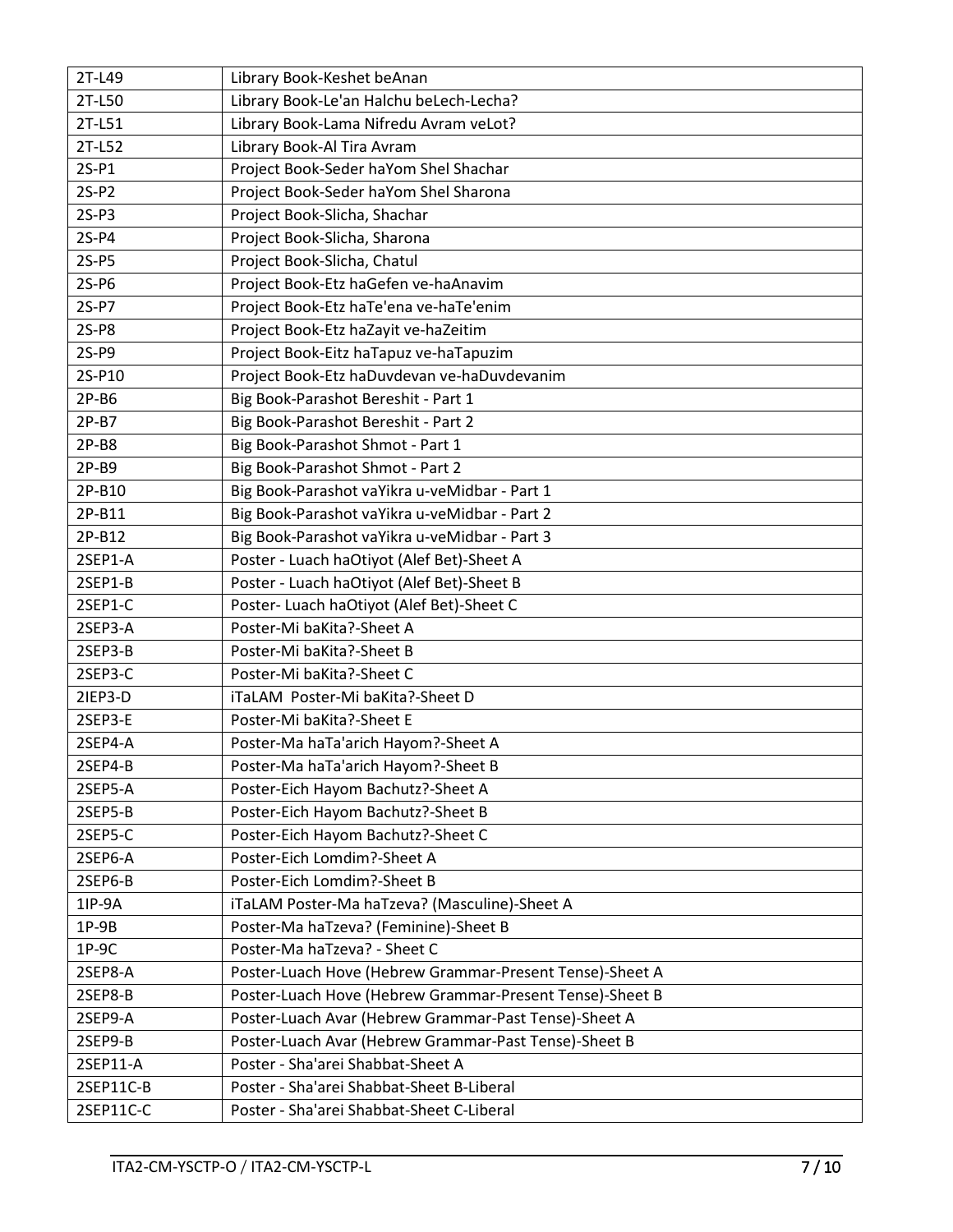| 2T-L49    | Library Book-Keshet beAnan                               |  |  |
|-----------|----------------------------------------------------------|--|--|
| 2T-L50    | Library Book-Le'an Halchu beLech-Lecha?                  |  |  |
| 2T-L51    | Library Book-Lama Nifredu Avram veLot?                   |  |  |
| 2T-L52    | Library Book-Al Tira Avram                               |  |  |
| $2S-P1$   | Project Book-Seder haYom Shel Shachar                    |  |  |
| $2S-P2$   | Project Book-Seder haYom Shel Sharona                    |  |  |
| $2S-P3$   | Project Book-Slicha, Shachar                             |  |  |
| $2S-P4$   | Project Book-Slicha, Sharona                             |  |  |
| $2S-P5$   | Project Book-Slicha, Chatul                              |  |  |
| 2S-P6     | Project Book-Etz haGefen ve-haAnavim                     |  |  |
| 2S-P7     | Project Book-Etz haTe'ena ve-haTe'enim                   |  |  |
| 2S-P8     | Project Book-Etz haZayit ve-haZeitim                     |  |  |
| 2S-P9     | Project Book-Eitz haTapuz ve-haTapuzim                   |  |  |
| 2S-P10    | Project Book-Etz haDuvdevan ve-haDuvdevanim              |  |  |
| $2P-B6$   | Big Book-Parashot Bereshit - Part 1                      |  |  |
| $2P-B7$   | Big Book-Parashot Bereshit - Part 2                      |  |  |
| $2P-B8$   | Big Book-Parashot Shmot - Part 1                         |  |  |
| $2P-B9$   | Big Book-Parashot Shmot - Part 2                         |  |  |
| 2P-B10    | Big Book-Parashot vaYikra u-veMidbar - Part 1            |  |  |
| 2P-B11    | Big Book-Parashot vaYikra u-veMidbar - Part 2            |  |  |
| 2P-B12    | Big Book-Parashot vaYikra u-veMidbar - Part 3            |  |  |
| 2SEP1-A   | Poster - Luach haOtiyot (Alef Bet)-Sheet A               |  |  |
| 2SEP1-B   | Poster - Luach haOtiyot (Alef Bet)-Sheet B               |  |  |
| 2SEP1-C   | Poster- Luach haOtiyot (Alef Bet)-Sheet C                |  |  |
| 2SEP3-A   | Poster-Mi baKita?-Sheet A                                |  |  |
| 2SEP3-B   | Poster-Mi baKita?-Sheet B                                |  |  |
| 2SEP3-C   | Poster-Mi baKita?-Sheet C                                |  |  |
| 2IEP3-D   | iTaLAM Poster-Mi baKita?-Sheet D                         |  |  |
| 2SEP3-E   | Poster-Mi baKita?-Sheet E                                |  |  |
| 2SEP4-A   | Poster-Ma haTa'arich Hayom?-Sheet A                      |  |  |
| 2SEP4-B   | Poster-Ma haTa'arich Hayom?-Sheet B                      |  |  |
| 2SEP5-A   | Poster-Eich Hayom Bachutz?-Sheet A                       |  |  |
| 2SEP5-B   | Poster-Eich Hayom Bachutz?-Sheet B                       |  |  |
| 2SEP5-C   | Poster-Eich Hayom Bachutz?-Sheet C                       |  |  |
| 2SEP6-A   | Poster-Eich Lomdim?-Sheet A                              |  |  |
| 2SEP6-B   | Poster-Eich Lomdim?-Sheet B                              |  |  |
| 1IP-9A    | iTaLAM Poster-Ma haTzeva? (Masculine)-Sheet A            |  |  |
| $1P-9B$   | Poster-Ma haTzeva? (Feminine)-Sheet B                    |  |  |
| $1P-9C$   | Poster-Ma haTzeva? - Sheet C                             |  |  |
| 2SEP8-A   | Poster-Luach Hove (Hebrew Grammar-Present Tense)-Sheet A |  |  |
| 2SEP8-B   | Poster-Luach Hove (Hebrew Grammar-Present Tense)-Sheet B |  |  |
| 2SEP9-A   | Poster-Luach Avar (Hebrew Grammar-Past Tense)-Sheet A    |  |  |
| 2SEP9-B   | Poster-Luach Avar (Hebrew Grammar-Past Tense)-Sheet B    |  |  |
| 2SEP11-A  | Poster - Sha'arei Shabbat-Sheet A                        |  |  |
| 2SEP11C-B | Poster - Sha'arei Shabbat-Sheet B-Liberal                |  |  |
| 2SEP11C-C | Poster - Sha'arei Shabbat-Sheet C-Liberal                |  |  |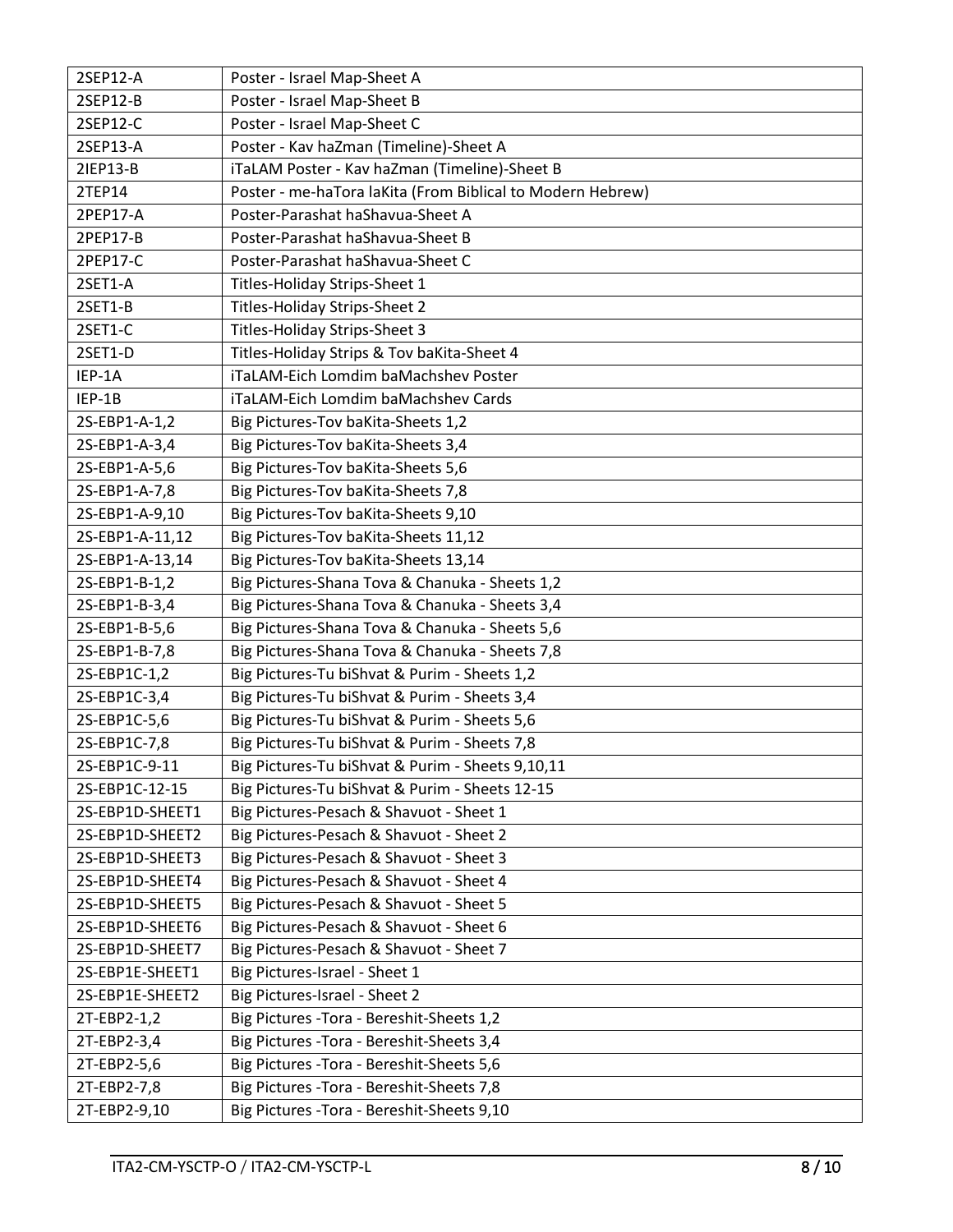| 2SEP12-A        | Poster - Israel Map-Sheet A                                |  |  |
|-----------------|------------------------------------------------------------|--|--|
| 2SEP12-B        | Poster - Israel Map-Sheet B                                |  |  |
| 2SEP12-C        | Poster - Israel Map-Sheet C                                |  |  |
| 2SEP13-A        | Poster - Kav haZman (Timeline)-Sheet A                     |  |  |
| 21EP13-B        | iTaLAM Poster - Kav haZman (Timeline)-Sheet B              |  |  |
| 2TEP14          | Poster - me-haTora laKita (From Biblical to Modern Hebrew) |  |  |
| 2PEP17-A        | Poster-Parashat haShavua-Sheet A                           |  |  |
| 2PEP17-B        | Poster-Parashat haShavua-Sheet B                           |  |  |
| 2PEP17-C        | Poster-Parashat haShavua-Sheet C                           |  |  |
| 2SET1-A         | Titles-Holiday Strips-Sheet 1                              |  |  |
| 2SET1-B         | Titles-Holiday Strips-Sheet 2                              |  |  |
| 2SET1-C         | Titles-Holiday Strips-Sheet 3                              |  |  |
| 2SET1-D         | Titles-Holiday Strips & Tov baKita-Sheet 4                 |  |  |
| IEP-1A          | iTaLAM-Eich Lomdim baMachshev Poster                       |  |  |
| IEP-1B          | iTaLAM-Eich Lomdim baMachshev Cards                        |  |  |
| 2S-EBP1-A-1,2   | Big Pictures-Tov baKita-Sheets 1,2                         |  |  |
| 2S-EBP1-A-3,4   | Big Pictures-Tov baKita-Sheets 3,4                         |  |  |
| 2S-EBP1-A-5,6   | Big Pictures-Tov baKita-Sheets 5,6                         |  |  |
| 2S-EBP1-A-7,8   | Big Pictures-Tov baKita-Sheets 7,8                         |  |  |
| 2S-EBP1-A-9,10  | Big Pictures-Tov baKita-Sheets 9,10                        |  |  |
| 2S-EBP1-A-11,12 | Big Pictures-Tov baKita-Sheets 11,12                       |  |  |
| 2S-EBP1-A-13,14 | Big Pictures-Tov baKita-Sheets 13,14                       |  |  |
| 2S-EBP1-B-1,2   | Big Pictures-Shana Tova & Chanuka - Sheets 1,2             |  |  |
| 2S-EBP1-B-3,4   | Big Pictures-Shana Tova & Chanuka - Sheets 3,4             |  |  |
| 2S-EBP1-B-5,6   | Big Pictures-Shana Tova & Chanuka - Sheets 5,6             |  |  |
| 2S-EBP1-B-7,8   | Big Pictures-Shana Tova & Chanuka - Sheets 7,8             |  |  |
| 2S-EBP1C-1,2    | Big Pictures-Tu biShvat & Purim - Sheets 1,2               |  |  |
| 2S-EBP1C-3,4    | Big Pictures-Tu biShvat & Purim - Sheets 3,4               |  |  |
| 2S-EBP1C-5,6    | Big Pictures-Tu biShvat & Purim - Sheets 5,6               |  |  |
| 2S-EBP1C-7,8    | Big Pictures-Tu biShvat & Purim - Sheets 7,8               |  |  |
| 2S-EBP1C-9-11   | Big Pictures-Tu biShvat & Purim - Sheets 9,10,11           |  |  |
| 2S-EBP1C-12-15  | Big Pictures-Tu biShvat & Purim - Sheets 12-15             |  |  |
| 2S-EBP1D-SHEET1 | Big Pictures-Pesach & Shavuot - Sheet 1                    |  |  |
| 2S-EBP1D-SHEET2 | Big Pictures-Pesach & Shavuot - Sheet 2                    |  |  |
| 2S-EBP1D-SHEET3 | Big Pictures-Pesach & Shavuot - Sheet 3                    |  |  |
| 2S-EBP1D-SHEET4 | Big Pictures-Pesach & Shavuot - Sheet 4                    |  |  |
| 2S-EBP1D-SHEET5 | Big Pictures-Pesach & Shavuot - Sheet 5                    |  |  |
| 2S-EBP1D-SHEET6 | Big Pictures-Pesach & Shavuot - Sheet 6                    |  |  |
| 2S-EBP1D-SHEET7 | Big Pictures-Pesach & Shavuot - Sheet 7                    |  |  |
| 2S-EBP1E-SHEET1 | Big Pictures-Israel - Sheet 1                              |  |  |
| 2S-EBP1E-SHEET2 | Big Pictures-Israel - Sheet 2                              |  |  |
| 2T-EBP2-1,2     | Big Pictures - Tora - Bereshit-Sheets 1,2                  |  |  |
| 2T-EBP2-3,4     | Big Pictures - Tora - Bereshit-Sheets 3,4                  |  |  |
| 2T-EBP2-5,6     | Big Pictures - Tora - Bereshit-Sheets 5,6                  |  |  |
| 2T-EBP2-7,8     | Big Pictures - Tora - Bereshit-Sheets 7,8                  |  |  |
| 2T-EBP2-9,10    | Big Pictures - Tora - Bereshit-Sheets 9,10                 |  |  |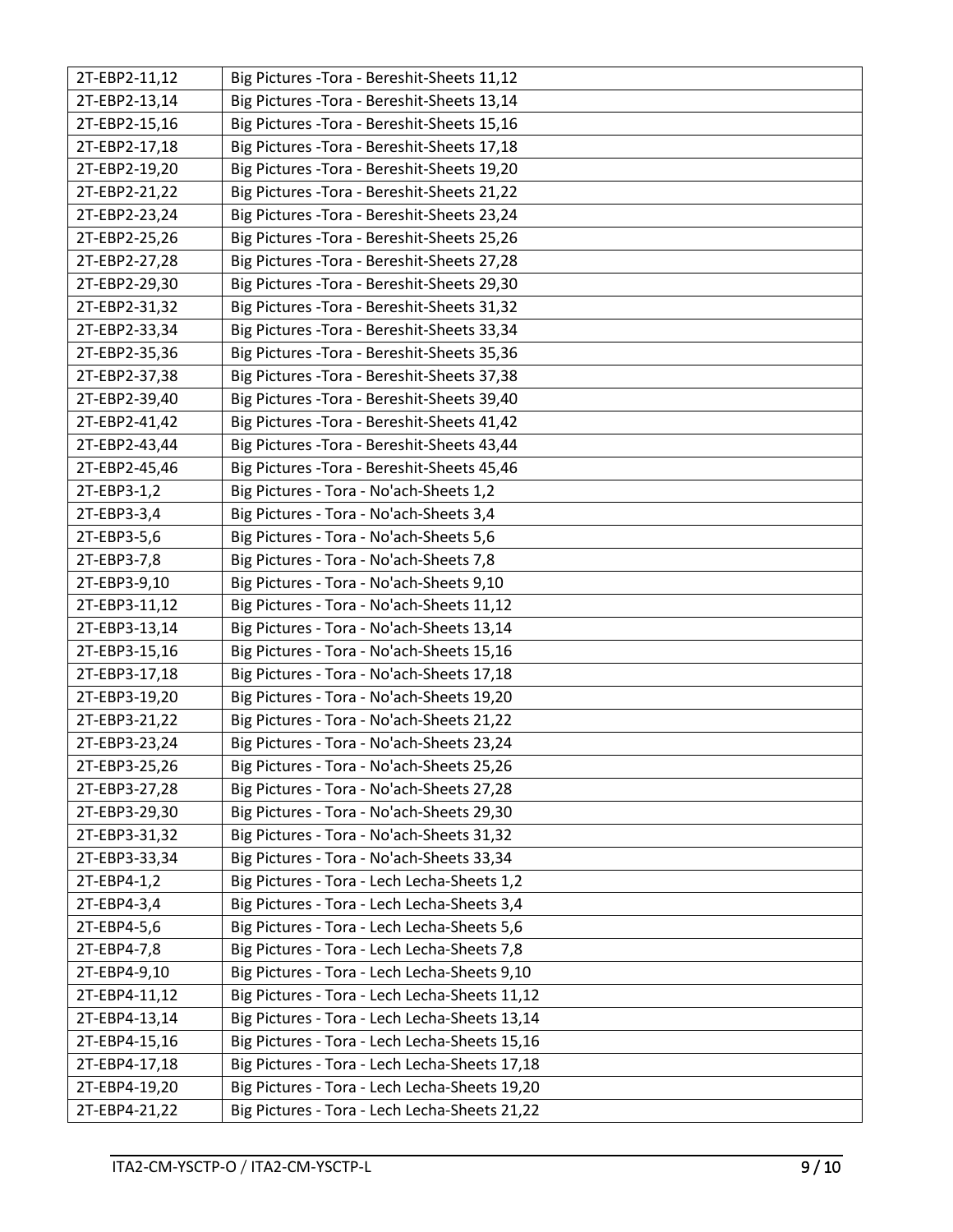| 2T-EBP2-11,12 | Big Pictures - Tora - Bereshit-Sheets 11,12   |
|---------------|-----------------------------------------------|
| 2T-EBP2-13,14 | Big Pictures - Tora - Bereshit-Sheets 13,14   |
| 2T-EBP2-15,16 | Big Pictures - Tora - Bereshit-Sheets 15,16   |
| 2T-EBP2-17,18 | Big Pictures - Tora - Bereshit-Sheets 17,18   |
| 2T-EBP2-19,20 | Big Pictures - Tora - Bereshit-Sheets 19,20   |
| 2T-EBP2-21,22 | Big Pictures - Tora - Bereshit-Sheets 21,22   |
| 2T-EBP2-23,24 | Big Pictures - Tora - Bereshit-Sheets 23,24   |
| 2T-EBP2-25,26 | Big Pictures - Tora - Bereshit-Sheets 25,26   |
| 2T-EBP2-27,28 | Big Pictures - Tora - Bereshit-Sheets 27,28   |
| 2T-EBP2-29,30 | Big Pictures - Tora - Bereshit-Sheets 29,30   |
| 2T-EBP2-31,32 | Big Pictures - Tora - Bereshit-Sheets 31,32   |
| 2T-EBP2-33,34 | Big Pictures - Tora - Bereshit-Sheets 33,34   |
| 2T-EBP2-35,36 | Big Pictures - Tora - Bereshit-Sheets 35,36   |
| 2T-EBP2-37,38 | Big Pictures - Tora - Bereshit-Sheets 37,38   |
| 2T-EBP2-39,40 | Big Pictures - Tora - Bereshit-Sheets 39,40   |
| 2T-EBP2-41,42 | Big Pictures - Tora - Bereshit-Sheets 41,42   |
| 2T-EBP2-43,44 | Big Pictures - Tora - Bereshit-Sheets 43,44   |
| 2T-EBP2-45,46 | Big Pictures - Tora - Bereshit-Sheets 45,46   |
| 2T-EBP3-1,2   | Big Pictures - Tora - No'ach-Sheets 1,2       |
| 2T-EBP3-3,4   | Big Pictures - Tora - No'ach-Sheets 3,4       |
| 2T-EBP3-5,6   | Big Pictures - Tora - No'ach-Sheets 5,6       |
| 2T-EBP3-7,8   | Big Pictures - Tora - No'ach-Sheets 7,8       |
| 2T-EBP3-9,10  | Big Pictures - Tora - No'ach-Sheets 9,10      |
| 2T-EBP3-11,12 | Big Pictures - Tora - No'ach-Sheets 11,12     |
| 2T-EBP3-13,14 | Big Pictures - Tora - No'ach-Sheets 13,14     |
| 2T-EBP3-15,16 | Big Pictures - Tora - No'ach-Sheets 15,16     |
| 2T-EBP3-17,18 | Big Pictures - Tora - No'ach-Sheets 17,18     |
| 2T-EBP3-19,20 | Big Pictures - Tora - No'ach-Sheets 19,20     |
| 2T-EBP3-21,22 | Big Pictures - Tora - No'ach-Sheets 21,22     |
| 2T-EBP3-23,24 | Big Pictures - Tora - No'ach-Sheets 23,24     |
| 2T-EBP3-25,26 | Big Pictures - Tora - No'ach-Sheets 25,26     |
| 2T-EBP3-27,28 | Big Pictures - Tora - No'ach-Sheets 27,28     |
| 2T-EBP3-29,30 | Big Pictures - Tora - No'ach-Sheets 29,30     |
| 2T-EBP3-31,32 | Big Pictures - Tora - No'ach-Sheets 31,32     |
| 2T-EBP3-33,34 | Big Pictures - Tora - No'ach-Sheets 33,34     |
| 2T-EBP4-1,2   | Big Pictures - Tora - Lech Lecha-Sheets 1,2   |
| 2T-EBP4-3,4   | Big Pictures - Tora - Lech Lecha-Sheets 3,4   |
| 2T-EBP4-5,6   | Big Pictures - Tora - Lech Lecha-Sheets 5,6   |
| 2T-EBP4-7,8   | Big Pictures - Tora - Lech Lecha-Sheets 7,8   |
| 2T-EBP4-9,10  | Big Pictures - Tora - Lech Lecha-Sheets 9,10  |
| 2T-EBP4-11,12 | Big Pictures - Tora - Lech Lecha-Sheets 11,12 |
| 2T-EBP4-13,14 | Big Pictures - Tora - Lech Lecha-Sheets 13,14 |
| 2T-EBP4-15,16 | Big Pictures - Tora - Lech Lecha-Sheets 15,16 |
| 2T-EBP4-17,18 | Big Pictures - Tora - Lech Lecha-Sheets 17,18 |
| 2T-EBP4-19,20 | Big Pictures - Tora - Lech Lecha-Sheets 19,20 |
| 2T-EBP4-21,22 | Big Pictures - Tora - Lech Lecha-Sheets 21,22 |